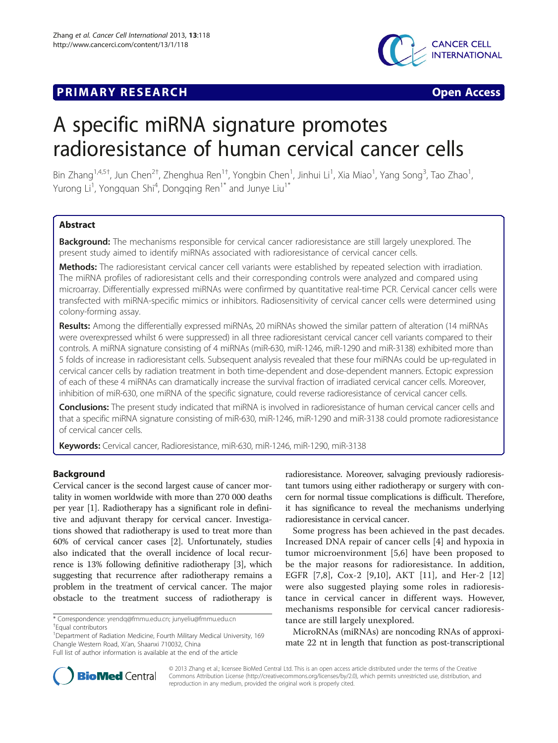# **PRIMARY RESEARCH CONSTRUCTION CONSTRUCTS**





# A specific miRNA signature promotes radioresistance of human cervical cancer cells

Bin Zhang<sup>1,4,5†</sup>, Jun Chen<sup>2†</sup>, Zhenghua Ren<sup>1†</sup>, Yongbin Chen<sup>1</sup>, Jinhui Li<sup>1</sup>, Xia Miao<sup>1</sup>, Yang Song<sup>3</sup>, Tao Zhao<sup>1</sup> , Yurong Li<sup>1</sup>, Yongquan Shi<sup>4</sup>, Dongqing Ren<sup>1\*</sup> and Junye Liu<sup>1\*</sup>

# Abstract

Background: The mechanisms responsible for cervical cancer radioresistance are still largely unexplored. The present study aimed to identify miRNAs associated with radioresistance of cervical cancer cells.

Methods: The radioresistant cervical cancer cell variants were established by repeated selection with irradiation. The miRNA profiles of radioresistant cells and their corresponding controls were analyzed and compared using microarray. Differentially expressed miRNAs were confirmed by quantitative real-time PCR. Cervical cancer cells were transfected with miRNA-specific mimics or inhibitors. Radiosensitivity of cervical cancer cells were determined using colony-forming assay.

Results: Among the differentially expressed miRNAs, 20 miRNAs showed the similar pattern of alteration (14 miRNAs were overexpressed whilst 6 were suppressed) in all three radioresistant cervical cancer cell variants compared to their controls. A miRNA signature consisting of 4 miRNAs (miR-630, miR-1246, miR-1290 and miR-3138) exhibited more than 5 folds of increase in radioresistant cells. Subsequent analysis revealed that these four miRNAs could be up-regulated in cervical cancer cells by radiation treatment in both time-dependent and dose-dependent manners. Ectopic expression of each of these 4 miRNAs can dramatically increase the survival fraction of irradiated cervical cancer cells. Moreover, inhibition of miR-630, one miRNA of the specific signature, could reverse radioresistance of cervical cancer cells.

Conclusions: The present study indicated that miRNA is involved in radioresistance of human cervical cancer cells and that a specific miRNA signature consisting of miR-630, miR-1246, miR-1290 and miR-3138 could promote radioresistance of cervical cancer cells.

Keywords: Cervical cancer, Radioresistance, miR-630, miR-1246, miR-1290, miR-3138

# Background

Cervical cancer is the second largest cause of cancer mortality in women worldwide with more than 270 000 deaths per year [\[1\]](#page-7-0). Radiotherapy has a significant role in definitive and adjuvant therapy for cervical cancer. Investigations showed that radiotherapy is used to treat more than 60% of cervical cancer cases [\[2](#page-7-0)]. Unfortunately, studies also indicated that the overall incidence of local recurrence is 13% following definitive radiotherapy [\[3](#page-7-0)], which suggesting that recurrence after radiotherapy remains a problem in the treatment of cervical cancer. The major obstacle to the treatment success of radiotherapy is

\* Correspondence: [yrendq@fmmu.edu.cn;](mailto:yrendq@fmmu.edu.cn) [junyeliu@fmmu.edu.cn](mailto:junyeliu@fmmu.edu.cn) †

radioresistance. Moreover, salvaging previously radioresistant tumors using either radiotherapy or surgery with concern for normal tissue complications is difficult. Therefore, it has significance to reveal the mechanisms underlying radioresistance in cervical cancer.

Some progress has been achieved in the past decades. Increased DNA repair of cancer cells [[4\]](#page-7-0) and hypoxia in tumor microenvironment [\[5](#page-7-0),[6\]](#page-7-0) have been proposed to be the major reasons for radioresistance. In addition, EGFR [\[7,8\]](#page-7-0), Cox-2 [\[9,10\]](#page-7-0), AKT [\[11](#page-7-0)], and Her-2 [\[12](#page-7-0)] were also suggested playing some roles in radioresistance in cervical cancer in different ways. However, mechanisms responsible for cervical cancer radioresistance are still largely unexplored.

MicroRNAs (miRNAs) are noncoding RNAs of approximate 22 nt in length that function as post-transcriptional



© 2013 Zhang et al.; licensee BioMed Central Ltd. This is an open access article distributed under the terms of the Creative Commons Attribution License [\(http://creativecommons.org/licenses/by/2.0\)](http://creativecommons.org/licenses/by/2.0), which permits unrestricted use, distribution, and reproduction in any medium, provided the original work is properly cited.

Equal contributors

<sup>&</sup>lt;sup>1</sup>Department of Radiation Medicine, Fourth Military Medical University, 169 Changle Western Road, Xi'an, Shaanxi 710032, China

Full list of author information is available at the end of the article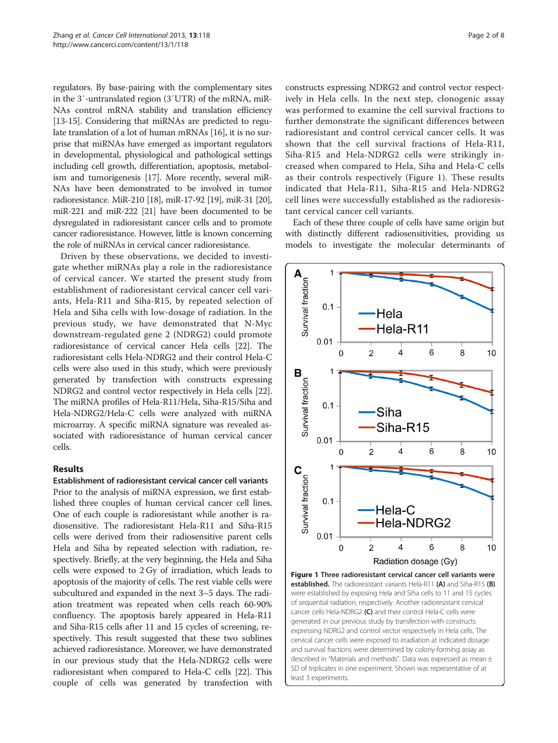regulators. By base-pairing with the complementary sites in the 3′-untranslated region (3′UTR) of the mRNA, miR-NAs control mRNA stability and translation efficiency [[13](#page-7-0)-[15](#page-7-0)]. Considering that miRNAs are predicted to regulate translation of a lot of human mRNAs [[16](#page-7-0)], it is no surprise that miRNAs have emerged as important regulators in developmental, physiological and pathological settings including cell growth, differentiation, apoptosis, metabolism and tumorigenesis [[17](#page-7-0)]. More recently, several miR-NAs have been demonstrated to be involved in tumor radioresistance. MiR-210 [[18](#page-7-0)], miR-17-92 [\[19\]](#page-7-0), miR-31 [\[20](#page-7-0)], miR-221 and miR-222 [\[21\]](#page-7-0) have been documented to be dysregulated in radioresistant cancer cells and to promote cancer radioresistance. However, little is known concerning the role of miRNAs in cervical cancer radioresistance.

Driven by these observations, we decided to investigate whether miRNAs play a role in the radioresistance of cervical cancer. We started the present study from establishment of radioresistant cervical cancer cell variants, Hela-R11 and Siha-R15, by repeated selection of Hela and Siha cells with low-dosage of radiation. In the previous study, we have demonstrated that N-Myc downstream-regulated gene 2 (NDRG2) could promote radioresistance of cervical cancer Hela cells [\[22\]](#page-7-0). The radioresistant cells Hela-NDRG2 and their control Hela-C cells were also used in this study, which were previously generated by transfection with constructs expressing NDRG2 and control vector respectively in Hela cells [[22](#page-7-0)]. The miRNA profiles of Hela-R11/Hela, Siha-R15/Siha and Hela-NDRG2/Hela-C cells were analyzed with miRNA microarray. A specific miRNA signature was revealed associated with radioresistance of human cervical cancer cells.

# Results

#### Establishment of radioresistant cervical cancer cell variants

Prior to the analysis of miRNA expression, we first established three couples of human cervical cancer cell lines. One of each couple is radioresistant while another is radiosensitive. The radioresistant Hela-R11 and Siha-R15 cells were derived from their radiosensitive parent cells Hela and Siha by repeated selection with radiation, respectively. Briefly, at the very beginning, the Hela and Siha cells were exposed to 2 Gy of irradiation, which leads to apoptosis of the majority of cells. The rest viable cells were subcultured and expanded in the next 3–5 days. The radiation treatment was repeated when cells reach 60-90% confluency. The apoptosis barely appeared in Hela-R11 and Siha-R15 cells after 11 and 15 cycles of screening, respectively. This result suggested that these two sublines achieved radioresistance. Moreover, we have demonstrated in our previous study that the Hela-NDRG2 cells were radioresistant when compared to Hela-C cells [[22](#page-7-0)]. This couple of cells was generated by transfection with constructs expressing NDRG2 and control vector respectively in Hela cells. In the next step, clonogenic assay was performed to examine the cell survival fractions to further demonstrate the significant differences between radioresistant and control cervical cancer cells. It was shown that the cell survival fractions of Hela-R11, Siha-R15 and Hela-NDRG2 cells were strikingly increased when compared to Hela, Siha and Hela-C cells as their controls respectively (Figure 1). These results indicated that Hela-R11, Siha-R15 and Hela-NDRG2 cell lines were successfully established as the radioresistant cervical cancer cell variants.

Each of these three couple of cells have same origin but with distinctly different radiosensitivities, providing us models to investigate the molecular determinants of



of sequential radiation, respectively. Another radioresistant cervical cancer cells Hela-NDRG2 (C) and their control Hela-C cells were generated in our previous study by transfection with constructs expressing NDRG2 and control vector respectively in Hela cells. The cervical cancer cells were exposed to irradiation at indicated dosage and survival fractions were determined by colony-forming assay as described in "[Materials and methods](#page-6-0)". Data was expressed as mean ± SD of triplicates in one experiment. Shown was representative of at least 3 experiments.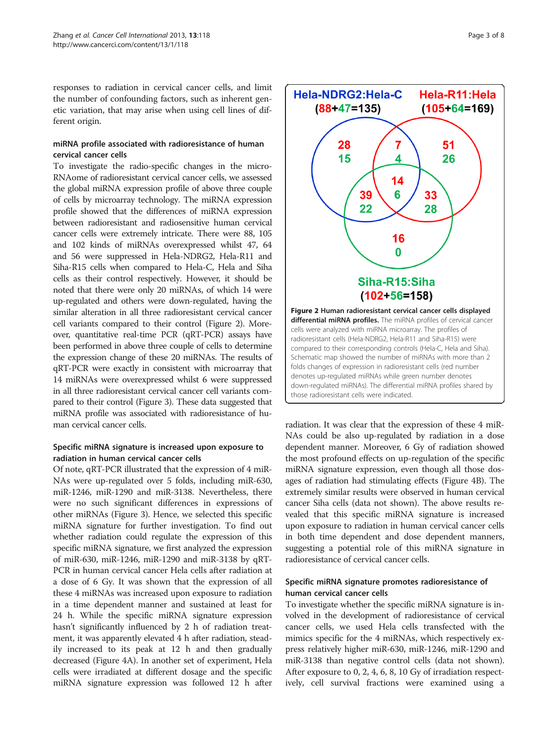responses to radiation in cervical cancer cells, and limit the number of confounding factors, such as inherent genetic variation, that may arise when using cell lines of different origin.

# miRNA profile associated with radioresistance of human cervical cancer cells

To investigate the radio-specific changes in the micro-RNAome of radioresistant cervical cancer cells, we assessed the global miRNA expression profile of above three couple of cells by microarray technology. The miRNA expression profile showed that the differences of miRNA expression between radioresistant and radiosensitive human cervical cancer cells were extremely intricate. There were 88, 105 and 102 kinds of miRNAs overexpressed whilst 47, 64 and 56 were suppressed in Hela-NDRG2, Hela-R11 and Siha-R15 cells when compared to Hela-C, Hela and Siha cells as their control respectively. However, it should be noted that there were only 20 miRNAs, of which 14 were up-regulated and others were down-regulated, having the similar alteration in all three radioresistant cervical cancer cell variants compared to their control (Figure 2). Moreover, quantitative real-time PCR (qRT-PCR) assays have been performed in above three couple of cells to determine the expression change of these 20 miRNAs. The results of qRT-PCR were exactly in consistent with microarray that 14 miRNAs were overexpressed whilst 6 were suppressed in all three radioresistant cervical cancer cell variants compared to their control (Figure [3](#page-3-0)). These data suggested that miRNA profile was associated with radioresistance of human cervical cancer cells.

# Specific miRNA signature is increased upon exposure to radiation in human cervical cancer cells

Of note, qRT-PCR illustrated that the expression of 4 miR-NAs were up-regulated over 5 folds, including miR-630, miR-1246, miR-1290 and miR-3138. Nevertheless, there were no such significant differences in expressions of other miRNAs (Figure [3](#page-3-0)). Hence, we selected this specific miRNA signature for further investigation. To find out whether radiation could regulate the expression of this specific miRNA signature, we first analyzed the expression of miR-630, miR-1246, miR-1290 and miR-3138 by qRT-PCR in human cervical cancer Hela cells after radiation at a dose of 6 Gy. It was shown that the expression of all these 4 miRNAs was increased upon exposure to radiation in a time dependent manner and sustained at least for 24 h. While the specific miRNA signature expression hasn't significantly influenced by 2 h of radiation treatment, it was apparently elevated 4 h after radiation, steadily increased to its peak at 12 h and then gradually decreased (Figure [4](#page-3-0)A). In another set of experiment, Hela cells were irradiated at different dosage and the specific miRNA signature expression was followed 12 h after



radiation. It was clear that the expression of these 4 miR-NAs could be also up-regulated by radiation in a dose dependent manner. Moreover, 6 Gy of radiation showed the most profound effects on up-regulation of the specific miRNA signature expression, even though all those dosages of radiation had stimulating effects (Figure [4](#page-3-0)B). The extremely similar results were observed in human cervical cancer Siha cells (data not shown). The above results revealed that this specific miRNA signature is increased upon exposure to radiation in human cervical cancer cells in both time dependent and dose dependent manners, suggesting a potential role of this miRNA signature in radioresistance of cervical cancer cells.

# Specific miRNA signature promotes radioresistance of human cervical cancer cells

To investigate whether the specific miRNA signature is involved in the development of radioresistance of cervical cancer cells, we used Hela cells transfected with the mimics specific for the 4 miRNAs, which respectively express relatively higher miR-630, miR-1246, miR-1290 and miR-3138 than negative control cells (data not shown). After exposure to 0, 2, 4, 6, 8, 10 Gy of irradiation respectively, cell survival fractions were examined using a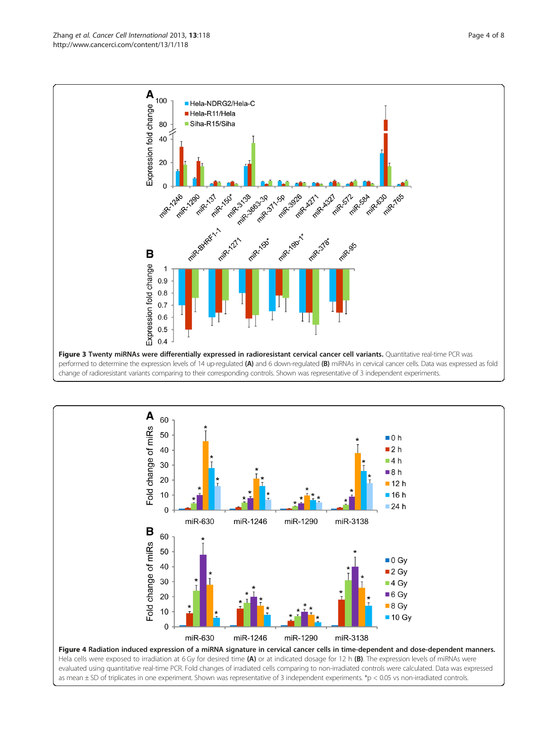<span id="page-3-0"></span>

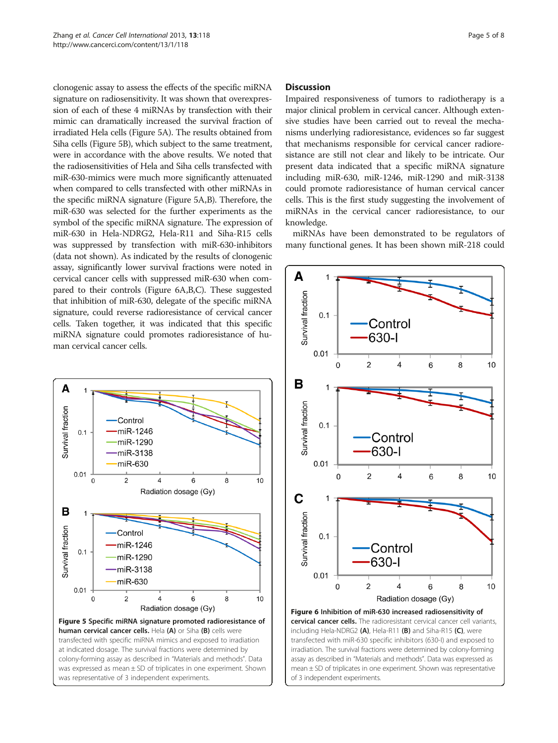clonogenic assay to assess the effects of the specific miRNA signature on radiosensitivity. It was shown that overexpression of each of these 4 miRNAs by transfection with their mimic can dramatically increased the survival fraction of irradiated Hela cells (Figure 5A). The results obtained from Siha cells (Figure 5B), which subject to the same treatment, were in accordance with the above results. We noted that the radiosensitivities of Hela and Siha cells transfected with miR-630-mimics were much more significantly attenuated when compared to cells transfected with other miRNAs in the specific miRNA signature (Figure 5A,B). Therefore, the miR-630 was selected for the further experiments as the symbol of the specific miRNA signature. The expression of miR-630 in Hela-NDRG2, Hela-R11 and Siha-R15 cells was suppressed by transfection with miR-630-inhibitors (data not shown). As indicated by the results of clonogenic assay, significantly lower survival fractions were noted in cervical cancer cells with suppressed miR-630 when compared to their controls (Figure 6A,B,C). These suggested that inhibition of miR-630, delegate of the specific miRNA signature, could reverse radioresistance of cervical cancer cells. Taken together, it was indicated that this specific miRNA signature could promotes radioresistance of human cervical cancer cells.



#### Discussion

Impaired responsiveness of tumors to radiotherapy is a major clinical problem in cervical cancer. Although extensive studies have been carried out to reveal the mechanisms underlying radioresistance, evidences so far suggest that mechanisms responsible for cervical cancer radioresistance are still not clear and likely to be intricate. Our present data indicated that a specific miRNA signature including miR-630, miR-1246, miR-1290 and miR-3138 could promote radioresistance of human cervical cancer cells. This is the first study suggesting the involvement of miRNAs in the cervical cancer radioresistance, to our knowledge.

miRNAs have been demonstrated to be regulators of many functional genes. It has been shown miR-218 could



mean ± SD of triplicates in one experiment. Shown was representative

of 3 independent experiments.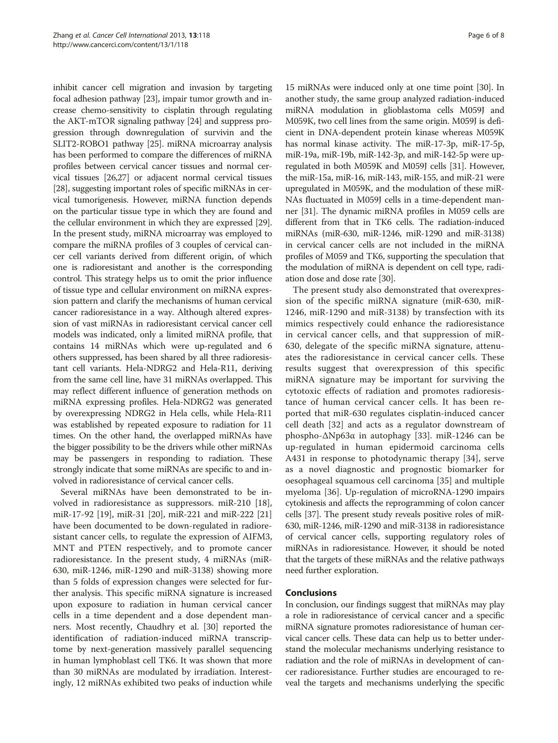inhibit cancer cell migration and invasion by targeting focal adhesion pathway [[23](#page-7-0)], impair tumor growth and increase chemo-sensitivity to cisplatin through regulating the AKT-mTOR signaling pathway [[24](#page-7-0)] and suppress progression through downregulation of survivin and the SLIT2-ROBO1 pathway [\[25\]](#page-7-0). miRNA microarray analysis has been performed to compare the differences of miRNA profiles between cervical cancer tissues and normal cervical tissues [[26,27](#page-7-0)] or adjacent normal cervical tissues [[28](#page-7-0)], suggesting important roles of specific miRNAs in cervical tumorigenesis. However, miRNA function depends on the particular tissue type in which they are found and the cellular environment in which they are expressed [[29](#page-7-0)]. In the present study, miRNA microarray was employed to compare the miRNA profiles of 3 couples of cervical cancer cell variants derived from different origin, of which one is radioresistant and another is the corresponding control. This strategy helps us to omit the prior influence of tissue type and cellular environment on miRNA expression pattern and clarify the mechanisms of human cervical cancer radioresistance in a way. Although altered expression of vast miRNAs in radioresistant cervical cancer cell models was indicated, only a limited miRNA profile, that contains 14 miRNAs which were up-regulated and 6 others suppressed, has been shared by all three radioresistant cell variants. Hela-NDRG2 and Hela-R11, deriving from the same cell line, have 31 miRNAs overlapped. This may reflect different influence of generation methods on miRNA expressing profiles. Hela-NDRG2 was generated by overexpressing NDRG2 in Hela cells, while Hela-R11 was established by repeated exposure to radiation for 11 times. On the other hand, the overlapped miRNAs have the bigger possibility to be the drivers while other miRNAs may be passengers in responding to radiation. These strongly indicate that some miRNAs are specific to and involved in radioresistance of cervical cancer cells.

Several miRNAs have been demonstrated to be involved in radioresistance as suppressors. miR-210 [\[18](#page-7-0)], miR-17-92 [[19](#page-7-0)], miR-31 [\[20](#page-7-0)], miR-221 and miR-222 [[21](#page-7-0)] have been documented to be down-regulated in radioresistant cancer cells, to regulate the expression of AIFM3, MNT and PTEN respectively, and to promote cancer radioresistance. In the present study, 4 miRNAs (miR-630, miR-1246, miR-1290 and miR-3138) showing more than 5 folds of expression changes were selected for further analysis. This specific miRNA signature is increased upon exposure to radiation in human cervical cancer cells in a time dependent and a dose dependent manners. Most recently, Chaudhry et al. [\[30](#page-7-0)] reported the identification of radiation-induced miRNA transcriptome by next-generation massively parallel sequencing in human lymphoblast cell TK6. It was shown that more than 30 miRNAs are modulated by irradiation. Interestingly, 12 miRNAs exhibited two peaks of induction while

15 miRNAs were induced only at one time point [[30](#page-7-0)]. In another study, the same group analyzed radiation-induced miRNA modulation in glioblastoma cells M059J and M059K, two cell lines from the same origin. M059J is deficient in DNA-dependent protein kinase whereas M059K has normal kinase activity. The miR-17-3p, miR-17-5p, miR-19a, miR-19b, miR-142-3p, and miR-142-5p were upregulated in both M059K and M059J cells [\[31\]](#page-7-0). However, the miR-15a, miR-16, miR-143, miR-155, and miR-21 were upregulated in M059K, and the modulation of these miR-NAs fluctuated in M059J cells in a time-dependent manner [[31](#page-7-0)]. The dynamic miRNA profiles in M059 cells are different from that in TK6 cells. The radiation-induced miRNAs (miR-630, miR-1246, miR-1290 and miR-3138) in cervical cancer cells are not included in the miRNA profiles of M059 and TK6, supporting the speculation that the modulation of miRNA is dependent on cell type, radiation dose and dose rate [\[30](#page-7-0)].

The present study also demonstrated that overexpression of the specific miRNA signature (miR-630, miR-1246, miR-1290 and miR-3138) by transfection with its mimics respectively could enhance the radioresistance in cervical cancer cells, and that suppression of miR-630, delegate of the specific miRNA signature, attenuates the radioresistance in cervical cancer cells. These results suggest that overexpression of this specific miRNA signature may be important for surviving the cytotoxic effects of radiation and promotes radioresistance of human cervical cancer cells. It has been reported that miR-630 regulates cisplatin-induced cancer cell death [[32\]](#page-7-0) and acts as a regulator downstream of phospho-ΔNp63α in autophagy [[33\]](#page-7-0). miR-1246 can be up-regulated in human epidermoid carcinoma cells A431 in response to photodynamic therapy [[34\]](#page-7-0), serve as a novel diagnostic and prognostic biomarker for oesophageal squamous cell carcinoma [[35\]](#page-7-0) and multiple myeloma [\[36](#page-7-0)]. Up-regulation of microRNA-1290 impairs cytokinesis and affects the reprogramming of colon cancer cells [\[37\]](#page-7-0). The present study reveals positive roles of miR-630, miR-1246, miR-1290 and miR-3138 in radioresistance of cervical cancer cells, supporting regulatory roles of miRNAs in radioresistance. However, it should be noted that the targets of these miRNAs and the relative pathways need further exploration.

# Conclusions

In conclusion, our findings suggest that miRNAs may play a role in radioresistance of cervical cancer and a specific miRNA signature promotes radioresistance of human cervical cancer cells. These data can help us to better understand the molecular mechanisms underlying resistance to radiation and the role of miRNAs in development of cancer radioresistance. Further studies are encouraged to reveal the targets and mechanisms underlying the specific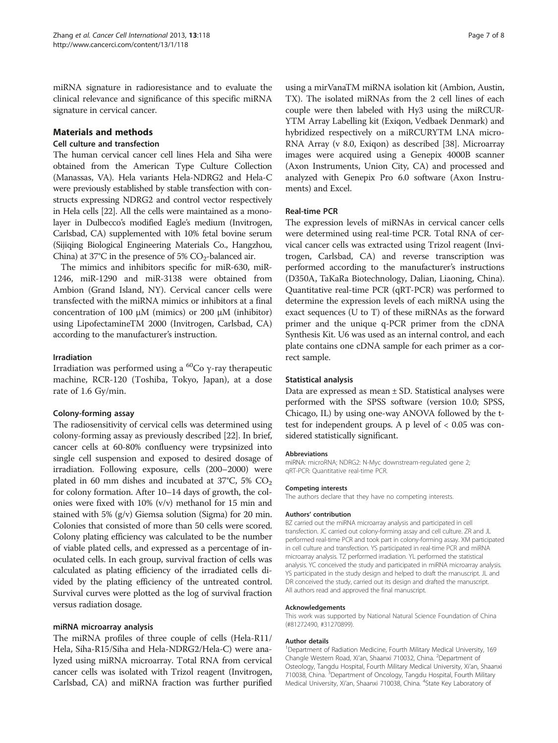<span id="page-6-0"></span>miRNA signature in radioresistance and to evaluate the clinical relevance and significance of this specific miRNA signature in cervical cancer.

## Materials and methods

#### Cell culture and transfection

The human cervical cancer cell lines Hela and Siha were obtained from the American Type Culture Collection (Manassas, VA). Hela variants Hela-NDRG2 and Hela-C were previously established by stable transfection with constructs expressing NDRG2 and control vector respectively in Hela cells [\[22](#page-7-0)]. All the cells were maintained as a monolayer in Dulbecco's modified Eagle's medium (Invitrogen, Carlsbad, CA) supplemented with 10% fetal bovine serum (Sijiqing Biological Engineering Materials Co., Hangzhou, China) at 37°C in the presence of 5%  $CO_2$ -balanced air.

The mimics and inhibitors specific for miR-630, miR-1246, miR-1290 and miR-3138 were obtained from Ambion (Grand Island, NY). Cervical cancer cells were transfected with the miRNA mimics or inhibitors at a final concentration of 100 μM (mimics) or 200 μM (inhibitor) using LipofectamineTM 2000 (Invitrogen, Carlsbad, CA) according to the manufacturer's instruction.

## Irradiation

Irradiation was performed using a  ${}^{60}$ Co γ-ray therapeutic machine, RCR-120 (Toshiba, Tokyo, Japan), at a dose rate of 1.6 Gy/min.

#### Colony-forming assay

The radiosensitivity of cervical cells was determined using colony-forming assay as previously described [[22](#page-7-0)]. In brief, cancer cells at 60-80% confluency were trypsinized into single cell suspension and exposed to desired dosage of irradiation. Following exposure, cells (200–2000) were plated in 60 mm dishes and incubated at  $37^{\circ}$ C, 5% CO<sub>2</sub> for colony formation. After 10–14 days of growth, the colonies were fixed with 10% (v/v) methanol for 15 min and stained with 5% (g/v) Giemsa solution (Sigma) for 20 min. Colonies that consisted of more than 50 cells were scored. Colony plating efficiency was calculated to be the number of viable plated cells, and expressed as a percentage of inoculated cells. In each group, survival fraction of cells was calculated as plating efficiency of the irradiated cells divided by the plating efficiency of the untreated control. Survival curves were plotted as the log of survival fraction versus radiation dosage.

#### miRNA microarray analysis

The miRNA profiles of three couple of cells (Hela-R11/ Hela, Siha-R15/Siha and Hela-NDRG2/Hela-C) were analyzed using miRNA microarray. Total RNA from cervical cancer cells was isolated with Trizol reagent (Invitrogen, Carlsbad, CA) and miRNA fraction was further purified using a mirVanaTM miRNA isolation kit (Ambion, Austin, TX). The isolated miRNAs from the 2 cell lines of each couple were then labeled with Hy3 using the miRCUR-YTM Array Labelling kit (Exiqon, Vedbaek Denmark) and hybridized respectively on a miRCURYTM LNA micro-RNA Array (v 8.0, Exiqon) as described [[38](#page-7-0)]. Microarray images were acquired using a Genepix 4000B scanner (Axon Instruments, Union City, CA) and processed and analyzed with Genepix Pro 6.0 software (Axon Instruments) and Excel.

#### Real-time PCR

The expression levels of miRNAs in cervical cancer cells were determined using real-time PCR. Total RNA of cervical cancer cells was extracted using Trizol reagent (Invitrogen, Carlsbad, CA) and reverse transcription was performed according to the manufacturer's instructions (D350A, TaKaRa Biotechnology, Dalian, Liaoning, China). Quantitative real-time PCR (qRT-PCR) was performed to determine the expression levels of each miRNA using the exact sequences (U to T) of these miRNAs as the forward primer and the unique q-PCR primer from the cDNA Synthesis Kit. U6 was used as an internal control, and each plate contains one cDNA sample for each primer as a correct sample.

#### Statistical analysis

Data are expressed as mean  $\pm$  SD. Statistical analyses were performed with the SPSS software (version 10.0; SPSS, Chicago, IL) by using one-way ANOVA followed by the ttest for independent groups. A p level of  $< 0.05$  was considered statistically significant.

#### Abbreviations

miRNA: microRNA; NDRG2: N-Myc downstream-regulated gene 2; qRT-PCR: Quantitative real-time PCR.

#### Competing interests

The authors declare that they have no competing interests.

#### Authors' contribution

BZ carried out the miRNA microarray analysis and participated in cell transfection. JC carried out colony-forming assay and cell culture. ZR and JL performed real-time PCR and took part in colony-forming assay. XM participated in cell culture and transfection. YS participated in real-time PCR and miRNA microarray analysis. TZ performed irradiation. YL performed the statistical analysis. YC conceived the study and participated in miRNA microarray analysis. YS participated in the study design and helped to draft the manuscript. JL and DR conceived the study, carried out its design and drafted the manuscript. All authors read and approved the final manuscript.

#### Acknowledgements

This work was supported by National Natural Science Foundation of China (#81272490, #31270899).

#### Author details

<sup>1</sup>Department of Radiation Medicine, Fourth Military Medical University, 169 Changle Western Road, Xi'an, Shaanxi 710032, China. <sup>2</sup>Department of Osteology, Tangdu Hospital, Fourth Military Medical University, Xi'an, Shaanxi 710038, China. <sup>3</sup>Department of Oncology, Tangdu Hospital, Fourth Military Medical University, Xi'an, Shaanxi 710038, China. <sup>4</sup>State Key Laboratory of